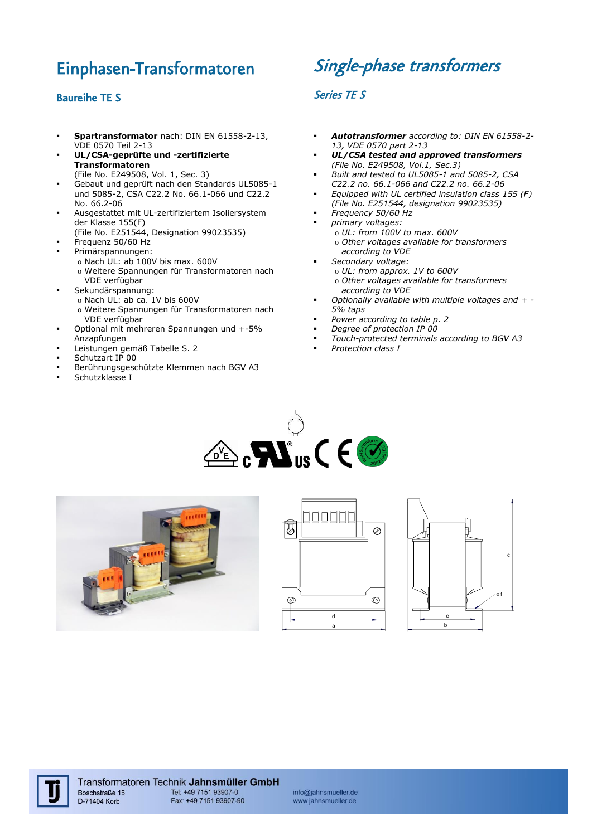## Einphasen-Transformatoren

## Baureihe TE S

- **Spartransformator** nach: DIN EN 61558-2-13, VDE 0570 Teil 2-13
- **UL/CSA-geprüfte und -zertifizierte Transformatoren**
- (File No. E249508, Vol. 1, Sec. 3) Gebaut und geprüft nach den Standards UL5085-1 und 5085-2, CSA C22.2 No. 66.1-066 und C22.2 No. 66.2-06
- Ausgestattet mit UL-zertifiziertem Isoliersystem der Klasse 155(F)
	- (File No. E251544, Designation 99023535) Frequenz 50/60 Hz
- Primärspannungen:
	- o Nach UL: ab 100V bis max. 600V
	- o Weitere Spannungen für Transformatoren nach VDE verfügbar
	- Sekundärspannung:
		- o Nach UL: ab ca. 1V bis 600V
		- o Weitere Spannungen für Transformatoren nach VDE verfügbar
- Optional mit mehreren Spannungen und +-5% Anzapfungen
- Leistungen gemäß Tabelle S. 2
- Schutzart IP 00
- Berührungsgeschützte Klemmen nach BGV A3
- Schutzklasse I

# Single-phase transformers

### Series TE S

- *Autotransformer according to: DIN EN 61558-2- 13, VDE 0570 part 2-13*
- *UL/CSA tested and approved transformers (File No. E249508, Vol.1, Sec.3)*
- *Built and tested to UL5085-1 and 5085-2, CSA C22.2 no. 66.1-066 and C22.2 no. 66.2-06*
- *Equipped with UL certified insulation class 155 (F) (File No. E251544, designation 99023535)*
- *Frequency 50/60 Hz*
- *primary voltages:*
	- o *UL: from 100V to max. 600V* o *Other voltages available for transformers*
	- *according to VDE Secondary voltage:* o *UL: from approx. 1V to 600V* o *Other voltages available for transformers*
- *according to VDE Optionally available with multiple voltages and + - 5% taps*
- *Power according to table p. 2*
- *Degree of protection IP 00*
- *Touch-protected terminals according to BGV A3*
- *Protection class I*











info@jahnsmueller.de www.jahnsmueller.de